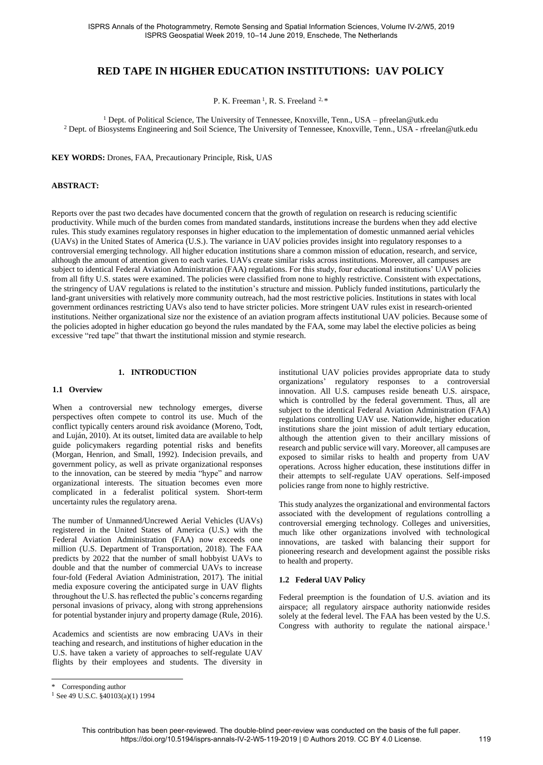# **RED TAPE IN HIGHER EDUCATION INSTITUTIONS: UAV POLICY**

P. K. Freeman<sup>1</sup>, R. S. Freeland<sup>2,\*</sup>

<sup>1</sup> Dept. of Political Science, The University of Tennessee, Knoxville, Tenn., USA – pfreelan@utk.edu <sup>2</sup> Dept. of Biosystems Engineering and Soil Science, The University of Tennessee, Knoxville, Tenn., USA - rfreelan@utk.edu

**KEY WORDS:** Drones, FAA, Precautionary Principle, Risk, UAS

## **ABSTRACT:**

Reports over the past two decades have documented concern that the growth of regulation on research is reducing scientific productivity. While much of the burden comes from mandated standards, institutions increase the burdens when they add elective rules. This study examines regulatory responses in higher education to the implementation of domestic unmanned aerial vehicles (UAVs) in the United States of America (U.S.). The variance in UAV policies provides insight into regulatory responses to a controversial emerging technology. All higher education institutions share a common mission of education, research, and service, although the amount of attention given to each varies. UAVs create similar risks across institutions. Moreover, all campuses are subject to identical Federal Aviation Administration (FAA) regulations. For this study, four educational institutions' UAV policies from all fifty U.S. states were examined. The policies were classified from none to highly restrictive. Consistent with expectations, the stringency of UAV regulations is related to the institution's structure and mission. Publicly funded institutions, particularly the land-grant universities with relatively more community outreach, had the most restrictive policies. Institutions in states with local government ordinances restricting UAVs also tend to have stricter policies. More stringent UAV rules exist in research-oriented institutions. Neither organizational size nor the existence of an aviation program affects institutional UAV policies. Because some of the policies adopted in higher education go beyond the rules mandated by the FAA, some may label the elective policies as being excessive "red tape" that thwart the institutional mission and stymie research.

### **1. INTRODUCTION**

#### **1.1 Overview**

When a controversial new technology emerges, diverse perspectives often compete to control its use. Much of the conflict typically centers around risk avoidance [\(Moreno, Todt,](#page-7-0)  [and Luján, 2010\)](#page-7-0). At its outset, limited data are available to help guide policymakers regarding potential risks and benefits [\(Morgan, Henrion, and Small, 1992\)](#page-7-1). Indecision prevails, and government policy, as well as private organizational responses to the innovation, can be steered by media "hype" and narrow organizational interests. The situation becomes even more complicated in a federalist political system. Short-term uncertainty rules the regulatory arena.

The number of Unmanned/Uncrewed Aerial Vehicles (UAVs) registered in the United States of America (U.S.) with the Federal Aviation Administration (FAA) now exceeds one million [\(U.S. Department of Transportation, 2018\)](#page-7-2). The FAA predicts by 2022 that the number of small hobbyist UAVs to double and that the number of commercial UAVs to increase four-fold [\(Federal Aviation Administration, 2017\)](#page-6-0). The initial media exposure covering the anticipated surge in UAV flights throughout the U.S. has reflected the public's concerns regarding personal invasions of privacy, along with strong apprehensions for potential bystander injury and property damage [\(Rule, 2016\)](#page-7-3).

Academics and scientists are now embracing UAVs in their teaching and research, and institutions of higher education in the U.S. have taken a variety of approaches to self-regulate UAV flights by their employees and students. The diversity in

institutional UAV policies provides appropriate data to study organizations' regulatory responses to a controversial innovation. All U.S. campuses reside beneath U.S. airspace, which is controlled by the federal government. Thus, all are subject to the identical Federal Aviation Administration (FAA) regulations controlling UAV use. Nationwide, higher education institutions share the joint mission of adult tertiary education, although the attention given to their ancillary missions of research and public service will vary. Moreover, all campuses are exposed to similar risks to health and property from UAV operations. Across higher education, these institutions differ in their attempts to self-regulate UAV operations. Self-imposed policies range from none to highly restrictive.

This study analyzes the organizational and environmental factors associated with the development of regulations controlling a controversial emerging technology. Colleges and universities, much like other organizations involved with technological innovations, are tasked with balancing their support for pioneering research and development against the possible risks to health and property.

### **1.2 Federal UAV Policy**

Federal preemption is the foundation of U.S. aviation and its airspace; all regulatory airspace authority nationwide resides solely at the federal level. The FAA has been vested by the U.S. Congress with authority to regulate the national airspace.<sup>1</sup>

1

<sup>\*</sup> Corresponding author

 $1$  See 49 U.S.C. §40103(a)(1) 1994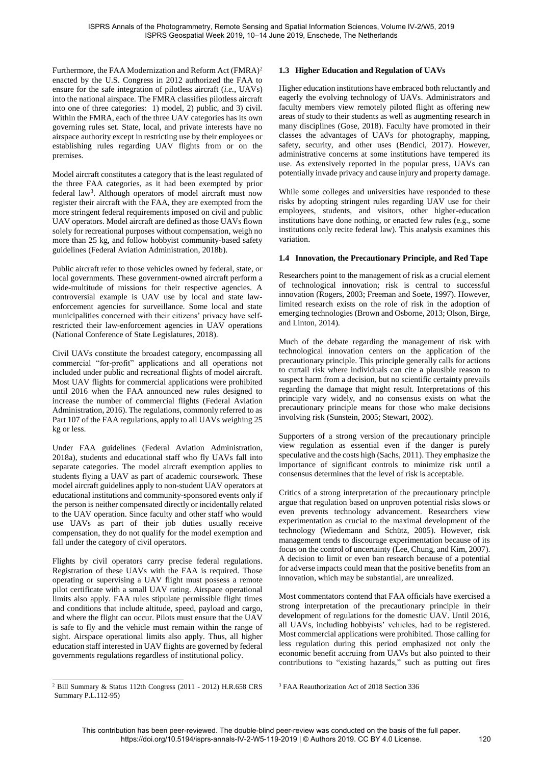Furthermore, the FAA Modernization and Reform Act (FMRA)<sup>2</sup> enacted by the U.S. Congress in 2012 authorized the FAA to ensure for the safe integration of pilotless aircraft (*i.e.*, UAVs) into the national airspace. The FMRA classifies pilotless aircraft into one of three categories: 1) model, 2) public, and 3) civil. Within the FMRA, each of the three UAV categories has its own governing rules set. State, local, and private interests have no airspace authority except in restricting use by their employees or establishing rules regarding UAV flights from or on the premises.

Model aircraft constitutes a category that is the least regulated of the three FAA categories, as it had been exempted by prior federal law<sup>3</sup>. Although operators of model aircraft must now register their aircraft with the FAA, they are exempted from the more stringent federal requirements imposed on civil and public UAV operators. Model aircraft are defined as those UAVs flown solely for recreational purposes without compensation, weigh no more than 25 kg, and follow hobbyist community-based safety guidelines [\(Federal Aviation Administration, 2018b\)](#page-6-1).

Public aircraft refer to those vehicles owned by federal, state, or local governments. These government-owned aircraft perform a wide-multitude of missions for their respective agencies. A controversial example is UAV use by local and state lawenforcement agencies for surveillance. Some local and state municipalities concerned with their citizens' privacy have selfrestricted their law-enforcement agencies in UAV operations [\(National Conference of State Legislatures, 2018\)](#page-7-4).

Civil UAVs constitute the broadest category, encompassing all commercial "for-profit" applications and all operations not included under public and recreational flights of model aircraft. Most UAV flights for commercial applications were prohibited until 2016 when the FAA announced new rules designed to increase the number of commercial flights [\(Federal Aviation](#page-6-2)  [Administration, 2016\)](#page-6-2). The regulations, commonly referred to as Part 107 of the FAA regulations, apply to all UAVs weighing 25 kg or less.

Under FAA guidelines [\(Federal Aviation Administration,](#page-6-3)  [2018a\)](#page-6-3), students and educational staff who fly UAVs fall into separate categories. The model aircraft exemption applies to students flying a UAV as part of academic coursework. These model aircraft guidelines apply to non-student UAV operators at educational institutions and community-sponsored events only if the person is neither compensated directly or incidentally related to the UAV operation. Since faculty and other staff who would use UAVs as part of their job duties usually receive compensation, they do not qualify for the model exemption and fall under the category of civil operators.

Flights by civil operators carry precise federal regulations. Registration of these UAVs with the FAA is required. Those operating or supervising a UAV flight must possess a remote pilot certificate with a small UAV rating. Airspace operational limits also apply. FAA rules stipulate permissible flight times and conditions that include altitude, speed, payload and cargo, and where the flight can occur. Pilots must ensure that the UAV is safe to fly and the vehicle must remain within the range of sight. Airspace operational limits also apply. Thus, all higher education staff interested in UAV flights are governed by federal governments regulations regardless of institutional policy.

### <sup>2</sup> Bill Summary & Status 112th Congress (2011 - 2012) H.R.658 CRS Summary P.L.112-95)

 $\overline{a}$ 

# **1.3 Higher Education and Regulation of UAVs**

Higher education institutions have embraced both reluctantly and eagerly the evolving technology of UAVs. Administrators and faculty members view remotely piloted flight as offering new areas of study to their students as well as augmenting research in many disciplines [\(Gose, 2018\)](#page-6-4). Faculty have promoted in their classes the advantages of UAVs for photography, mapping, safety, security, and other uses [\(Bendici, 2017\)](#page-6-5). However, administrative concerns at some institutions have tempered its use. As extensively reported in the popular press, UAVs can potentially invade privacy and cause injury and property damage.

While some colleges and universities have responded to these risks by adopting stringent rules regarding UAV use for their employees, students, and visitors, other higher-education institutions have done nothing, or enacted few rules (e.g., some institutions only recite federal law). This analysis examines this variation.

# **1.4 Innovation, the Precautionary Principle, and Red Tape**

Researchers point to the management of risk as a crucial element of technological innovation; risk is central to successful innovation [\(Rogers, 2003;](#page-7-5) [Freeman and Soete, 1997\)](#page-6-6). However, limited research exists on the role of risk in the adoption of emerging technologies [\(Brown and Osborne, 2013;](#page-6-7) [Olson, Birge,](#page-7-6)  [and Linton, 2014\)](#page-7-6).

Much of the debate regarding the management of risk with technological innovation centers on the application of the precautionary principle. This principle generally calls for actions to curtail risk where individuals can cite a plausible reason to suspect harm from a decision, but no scientific certainty prevails regarding the damage that might result. Interpretations of this principle vary widely, and no consensus exists on what the precautionary principle means for those who make decisions involving risk [\(Sunstein, 2005;](#page-7-7) [Stewart, 2002\)](#page-7-8).

Supporters of a strong version of the precautionary principle view regulation as essential even if the danger is purely speculative and the costs high [\(Sachs, 2011\)](#page-7-9). They emphasize the importance of significant controls to minimize risk until a consensus determines that the level of risk is acceptable.

Critics of a strong interpretation of the precautionary principle argue that regulation based on unproven potential risks slows or even prevents technology advancement. Researchers view experimentation as crucial to the maximal development of the technology [\(Wiedemann and Schütz, 2005\)](#page-7-10). However, risk management tends to discourage experimentation because of its focus on the control of uncertainty [\(Lee, Chung, and Kim, 2007\)](#page-7-11). A decision to limit or even ban research because of a potential for adverse impacts could mean that the positive benefits from an innovation, which may be substantial, are unrealized.

Most commentators contend that FAA officials have exercised a strong interpretation of the precautionary principle in their development of regulations for the domestic UAV. Until 2016, all UAVs, including hobbyists' vehicles, had to be registered. Most commercial applications were prohibited. Those calling for less regulation during this period emphasized not only the economic benefit accruing from UAVs but also pointed to their contributions to "existing hazards," such as putting out fires

<sup>3</sup> FAA Reauthorization Act of 2018 Section 336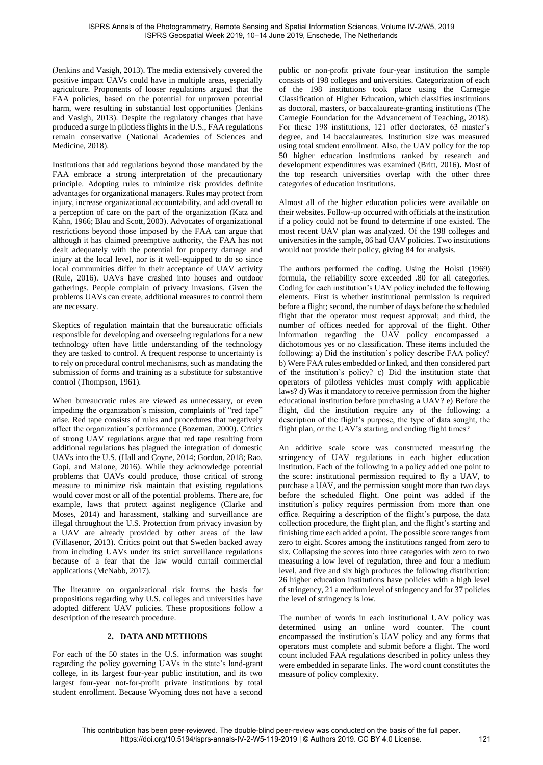[\(Jenkins and Vasigh, 2013\)](#page-7-12). The media extensively covered the positive impact UAVs could have in multiple areas, especially agriculture. Proponents of looser regulations argued that the FAA policies, based on the potential for unproven potential harm, were resulting in substantial lost opportunities [\(Jenkins](#page-7-12)  [and Vasigh, 2013\)](#page-7-12). Despite the regulatory changes that have produced a surge in pilotless flights in the U.S., FAA regulations remain conservative [\(National Academies of Sciences and](#page-7-13)  [Medicine, 2018\)](#page-7-13).

Institutions that add regulations beyond those mandated by the FAA embrace a strong interpretation of the precautionary principle. Adopting rules to minimize risk provides definite advantages for organizational managers. Rules may protect from injury, increase organizational accountability, and add overall to a perception of care on the part of the organization [\(Katz and](#page-7-14)  [Kahn, 1966;](#page-7-14) [Blau and Scott, 2003\)](#page-6-8). Advocates of organizational restrictions beyond those imposed by the FAA can argue that although it has claimed preemptive authority, the FAA has not dealt adequately with the potential for property damage and injury at the local level, nor is it well-equipped to do so since local communities differ in their acceptance of UAV activity [\(Rule, 2016\)](#page-7-3). UAVs have crashed into houses and outdoor gatherings. People complain of privacy invasions. Given the problems UAVs can create, additional measures to control them are necessary.

Skeptics of regulation maintain that the bureaucratic officials responsible for developing and overseeing regulations for a new technology often have little understanding of the technology they are tasked to control. A frequent response to uncertainty is to rely on procedural control mechanisms, such as mandating the submission of forms and training as a substitute for substantive control [\(Thompson, 1961\)](#page-7-15).

When bureaucratic rules are viewed as unnecessary, or even impeding the organization's mission, complaints of "red tape" arise. Red tape consists of rules and procedures that negatively affect the organization's performance [\(Bozeman, 2000\)](#page-6-9). Critics of strong UAV regulations argue that red tape resulting from additional regulations has plagued the integration of domestic UAVs into the U.S. [\(Hall and Coyne, 2014;](#page-6-10) [Gordon, 2018;](#page-6-11) [Rao,](#page-7-16)  [Gopi, and Maione, 2016\)](#page-7-16). While they acknowledge potential problems that UAVs could produce, those critical of strong measure to minimize risk maintain that existing regulations would cover most or all of the potential problems. There are, for example, laws that protect against negligence [\(Clarke and](#page-6-12)  [Moses, 2014\)](#page-6-12) and harassment, stalking and surveillance are illegal throughout the U.S. Protection from privacy invasion by a UAV are already provided by other areas of the law [\(Villasenor, 2013\)](#page-7-17). Critics point out that Sweden backed away from including UAVs under its strict surveillance regulations because of a fear that the law would curtail commercial applications [\(McNabb, 2017\)](#page-7-18).

The literature on organizational risk forms the basis for propositions regarding why U.S. colleges and universities have adopted different UAV policies. These propositions follow a description of the research procedure.

## **2. DATA AND METHODS**

For each of the 50 states in the U.S. information was sought regarding the policy governing UAVs in the state's land-grant college, in its largest four-year public institution, and its two largest four-year not-for-profit private institutions by total student enrollment. Because Wyoming does not have a second

public or non-profit private four-year institution the sample consists of 198 colleges and universities. Categorization of each of the 198 institutions took place using the Carnegie Classification of Higher Education, which classifies institutions as doctoral, masters, or baccalaureate-granting institutions [\(The](#page-7-19)  [Carnegie Foundation for the Advancement of Teaching, 2018\)](#page-7-19). For these 198 institutions, 121 offer doctorates, 63 master's degree, and 14 baccalaureates. Institution size was measured using total student enrollment. Also, the UAV policy for the top 50 higher education institutions ranked by research and development expenditures was examined [\(Britt, 2016\)](#page-6-13)**.** Most of the top research universities overlap with the other three categories of education institutions.

Almost all of the higher education policies were available on their websites. Follow-up occurred with officials at the institution if a policy could not be found to determine if one existed. The most recent UAV plan was analyzed. Of the 198 colleges and universities in the sample, 86 had UAV policies. Two institutions would not provide their policy, giving 84 for analysis.

The authors performed the coding. Using the [Holsti \(1969\)](#page-6-14) formula, the reliability score exceeded .80 for all categories. Coding for each institution's UAV policy included the following elements. First is whether institutional permission is required before a flight; second, the number of days before the scheduled flight that the operator must request approval; and third, the number of offices needed for approval of the flight. Other information regarding the UAV policy encompassed a dichotomous yes or no classification. These items included the following: a) Did the institution's policy describe FAA policy? b) Were FAA rules embedded or linked, and then considered part of the institution's policy? c) Did the institution state that operators of pilotless vehicles must comply with applicable laws? d) Was it mandatory to receive permission from the higher educational institution before purchasing a UAV? e) Before the flight, did the institution require any of the following: a description of the flight's purpose, the type of data sought, the flight plan, or the UAV's starting and ending flight times?

An additive scale score was constructed measuring the stringency of UAV regulations in each higher education institution. Each of the following in a policy added one point to the score: institutional permission required to fly a UAV, to purchase a UAV, and the permission sought more than two days before the scheduled flight. One point was added if the institution's policy requires permission from more than one office. Requiring a description of the flight's purpose, the data collection procedure, the flight plan, and the flight's starting and finishing time each added a point. The possible score ranges from zero to eight. Scores among the institutions ranged from zero to six. Collapsing the scores into three categories with zero to two measuring a low level of regulation, three and four a medium level, and five and six high produces the following distribution: 26 higher education institutions have policies with a high level of stringency, 21 a medium level of stringency and for 37 policies the level of stringency is low.

The number of words in each institutional UAV policy was determined using an online word counter. The count encompassed the institution's UAV policy and any forms that operators must complete and submit before a flight. The word count included FAA regulations described in policy unless they were embedded in separate links. The word count constitutes the measure of policy complexity.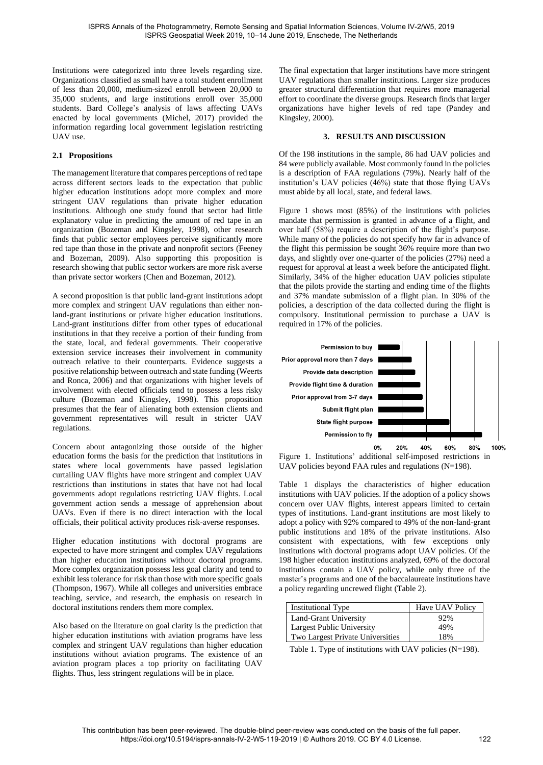Institutions were categorized into three levels regarding size. Organizations classified as small have a total student enrollment of less than 20,000, medium-sized enroll between 20,000 to 35,000 students, and large institutions enroll over 35,000 students. Bard College's analysis of laws affecting UAVs enacted by local governments [\(Michel, 2017\)](#page-7-20) provided the information regarding local government legislation restricting UAV use.

# **2.1 Propositions**

The management literature that compares perceptions of red tape across different sectors leads to the expectation that public higher education institutions adopt more complex and more stringent UAV regulations than private higher education institutions. Although one study found that sector had little explanatory value in predicting the amount of red tape in an organization [\(Bozeman and Kingsley, 1998\)](#page-6-15), other research finds that public sector employees perceive significantly more red tape than those in the private and nonprofit sectors [\(Feeney](#page-6-16)  [and Bozeman, 2009\)](#page-6-16). Also supporting this proposition is research showing that public sector workers are more risk averse than private sector workers [\(Chen and Bozeman, 2012\)](#page-6-17).

A second proposition is that public land-grant institutions adopt more complex and stringent UAV regulations than either nonland-grant institutions or private higher education institutions. Land-grant institutions differ from other types of educational institutions in that they receive a portion of their funding from the state, local, and federal governments. Their cooperative extension service increases their involvement in community outreach relative to their counterparts. Evidence suggests a positive relationship between outreach and state funding [\(Weerts](#page-7-21)  [and Ronca, 2006\)](#page-7-21) and that organizations with higher levels of involvement with elected officials tend to possess a less risky culture [\(Bozeman and Kingsley, 1998\)](#page-6-15). This proposition presumes that the fear of alienating both extension clients and government representatives will result in stricter UAV regulations.

Concern about antagonizing those outside of the higher education forms the basis for the prediction that institutions in states where local governments have passed legislation curtailing UAV flights have more stringent and complex UAV restrictions than institutions in states that have not had local governments adopt regulations restricting UAV flights. Local government action sends a message of apprehension about UAVs. Even if there is no direct interaction with the local officials, their political activity produces risk-averse responses.

Higher education institutions with doctoral programs are expected to have more stringent and complex UAV regulations than higher education institutions without doctoral programs. More complex organization possess less goal clarity and tend to exhibit less tolerance for risk than those with more specific goals [\(Thompson, 1967\)](#page-7-22). While all colleges and universities embrace teaching, service, and research, the emphasis on research in doctoral institutions renders them more complex.

Also based on the literature on goal clarity is the prediction that higher education institutions with aviation programs have less complex and stringent UAV regulations than higher education institutions without aviation programs. The existence of an aviation program places a top priority on facilitating UAV flights. Thus, less stringent regulations will be in place.

The final expectation that larger institutions have more stringent UAV regulations than smaller institutions. Larger size produces greater structural differentiation that requires more managerial effort to coordinate the diverse groups. Research finds that larger organizations have higher levels of red tape [\(Pandey and](#page-7-23)  [Kingsley, 2000\)](#page-7-23).

### **3. RESULTS AND DISCUSSION**

Of the 198 institutions in the sample, 86 had UAV policies and 84 were publicly available. Most commonly found in the policies is a description of FAA regulations (79%). Nearly half of the institution's UAV policies (46%) state that those flying UAVs must abide by all local, state, and federal laws.

[Figure 1](#page-3-0) shows most (85%) of the institutions with policies mandate that permission is granted in advance of a flight, and over half (58%) require a description of the flight's purpose. While many of the policies do not specify how far in advance of the flight this permission be sought 36% require more than two days, and slightly over one-quarter of the policies (27%) need a request for approval at least a week before the anticipated flight. Similarly, 34% of the higher education UAV policies stipulate that the pilots provide the starting and ending time of the flights and 37% mandate submission of a flight plan. In 30% of the policies, a description of the data collected during the flight is compulsory. Institutional permission to purchase a UAV is required in 17% of the policies.



<span id="page-3-0"></span>Figure 1. Institutions' additional self-imposed restrictions in UAV policies beyond FAA rules and regulations (N=198).

[Table 1](#page-3-1) displays the characteristics of higher education institutions with UAV policies. If the adoption of a policy shows concern over UAV flights, interest appears limited to certain types of institutions. Land-grant institutions are most likely to adopt a policy with 92% compared to 49% of the non-land-grant public institutions and 18% of the private institutions. Also consistent with expectations, with few exceptions only institutions with doctoral programs adopt UAV policies. Of the 198 higher education institutions analyzed, 69% of the doctoral institutions contain a UAV policy, while only three of the master's programs and one of the baccalaureate institutions have a policy regarding uncrewed flight [\(Table 2\)](#page-4-0).

| <b>Institutional Type</b>        | Have UAV Policy |
|----------------------------------|-----------------|
| Land-Grant University            | 92%             |
| <b>Largest Public University</b> | 49%             |
| Two Largest Private Universities | 18%             |

<span id="page-3-1"></span>Table 1. Type of institutions with UAV policies (N=198).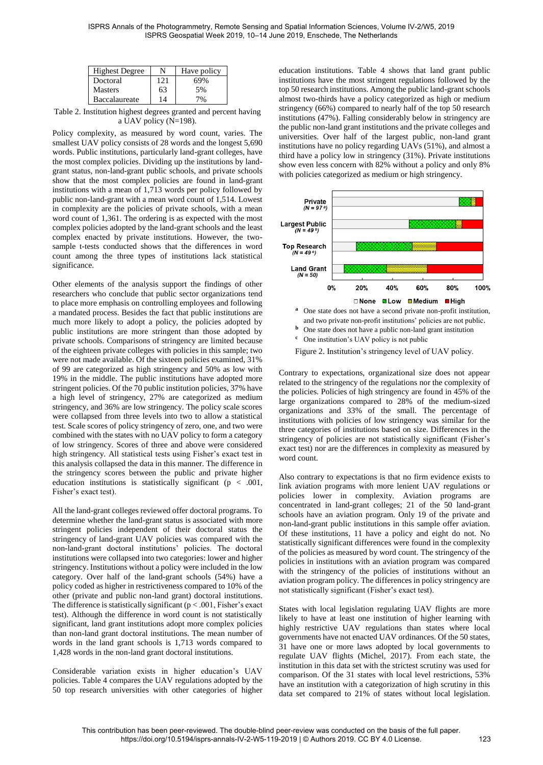| <b>Highest Degree</b> | N   | Have policy |
|-----------------------|-----|-------------|
| Doctoral              | 121 | 69%         |
| <b>Masters</b>        | 63  | 5%          |
| <b>Baccalaureate</b>  | 14  | 7%          |

<span id="page-4-0"></span>Table 2. Institution highest degrees granted and percent having a UAV policy (N=198).

Policy complexity, as measured by word count, varies. The smallest UAV policy consists of 28 words and the longest 5,690 words. Public institutions, particularly land-grant colleges, have the most complex policies. Dividing up the institutions by landgrant status, non-land-grant public schools, and private schools show that the most complex policies are found in land-grant institutions with a mean of 1,713 words per policy followed by public non-land-grant with a mean word count of 1,514. Lowest in complexity are the policies of private schools, with a mean word count of 1,361. The ordering is as expected with the most complex policies adopted by the land-grant schools and the least complex enacted by private institutions. However, the twosample t-tests conducted shows that the differences in word count among the three types of institutions lack statistical significance.

Other elements of the analysis support the findings of other researchers who conclude that public sector organizations tend to place more emphasis on controlling employees and following a mandated process. Besides the fact that public institutions are much more likely to adopt a policy, the policies adopted by public institutions are more stringent than those adopted by private schools. Comparisons of stringency are limited because of the eighteen private colleges with policies in this sample; two were not made available. Of the sixteen policies examined, 31% of 99 are categorized as high stringency and 50% as low with 19% in the middle. The public institutions have adopted more stringent policies. Of the 70 public institution policies, 37% have a high level of stringency, 27% are categorized as medium stringency, and 36% are low stringency. The policy scale scores were collapsed from three levels into two to allow a statistical test. Scale scores of policy stringency of zero, one, and two were combined with the states with no UAV policy to form a category of low stringency. Scores of three and above were considered high stringency. All statistical tests using Fisher's exact test in this analysis collapsed the data in this manner. The difference in the stringency scores between the public and private higher education institutions is statistically significant ( $p < .001$ , Fisher's exact test).

All the land-grant colleges reviewed offer doctoral programs. To determine whether the land-grant status is associated with more stringent policies independent of their doctoral status the stringency of land-grant UAV policies was compared with the non-land-grant doctoral institutions' policies. The doctoral institutions were collapsed into two categories: lower and higher stringency. Institutions without a policy were included in the low category. Over half of the land-grant schools (54%) have a policy coded as higher in restrictiveness compared to 10% of the other (private and public non-land grant) doctoral institutions. The difference is statistically significant ( $p < .001$ , Fisher's exact test). Although the difference in word count is not statistically significant, land grant institutions adopt more complex policies than non-land grant doctoral institutions. The mean number of words in the land grant schools is 1,713 words compared to 1,428 words in the non-land grant doctoral institutions.

Considerable variation exists in higher education's UAV policies. Table 4 compares the UAV regulations adopted by the 50 top research universities with other categories of higher education institutions. Table 4 shows that land grant public institutions have the most stringent regulations followed by the top 50 research institutions. Among the public land-grant schools almost two-thirds have a policy categorized as high or medium stringency (66%) compared to nearly half of the top 50 research institutions (47%). Falling considerably below in stringency are the public non-land grant institutions and the private colleges and universities. Over half of the largest public, non-land grant institutions have no policy regarding UAVs (51%), and almost a third have a policy low in stringency (31%). Private institutions show even less concern with 82% without a policy and only 8% with policies categorized as medium or high stringency.



- **b** One state does not have a public non-land grant institution
- **<sup>c</sup>** One institution's UAV policy is not public

Figure 2. Institution's stringency level of UAV policy.

Contrary to expectations, organizational size does not appear related to the stringency of the regulations nor the complexity of the policies. Policies of high stringency are found in 45% of the large organizations compared to 28% of the medium-sized organizations and 33% of the small. The percentage of institutions with policies of low stringency was similar for the three categories of institutions based on size. Differences in the stringency of policies are not statistically significant (Fisher's exact test) nor are the differences in complexity as measured by word count.

Also contrary to expectations is that no firm evidence exists to link aviation programs with more lenient UAV regulations or policies lower in complexity. Aviation programs are concentrated in land-grant colleges; 21 of the 50 land-grant schools have an aviation program. Only 19 of the private and non-land-grant public institutions in this sample offer aviation. Of these institutions, 11 have a policy and eight do not. No statistically significant differences were found in the complexity of the policies as measured by word count. The stringency of the policies in institutions with an aviation program was compared with the stringency of the policies of institutions without an aviation program policy. The differences in policy stringency are not statistically significant (Fisher's exact test).

States with local legislation regulating UAV flights are more likely to have at least one institution of higher learning with highly restrictive UAV regulations than states where local governments have not enacted UAV ordinances. Of the 50 states, 31 have one or more laws adopted by local governments to regulate UAV flights [\(Michel, 2017\)](#page-7-20). From each state, the institution in this data set with the strictest scrutiny was used for comparison. Of the 31 states with local level restrictions, 53% have an institution with a categorization of high scrutiny in this data set compared to 21% of states without local legislation.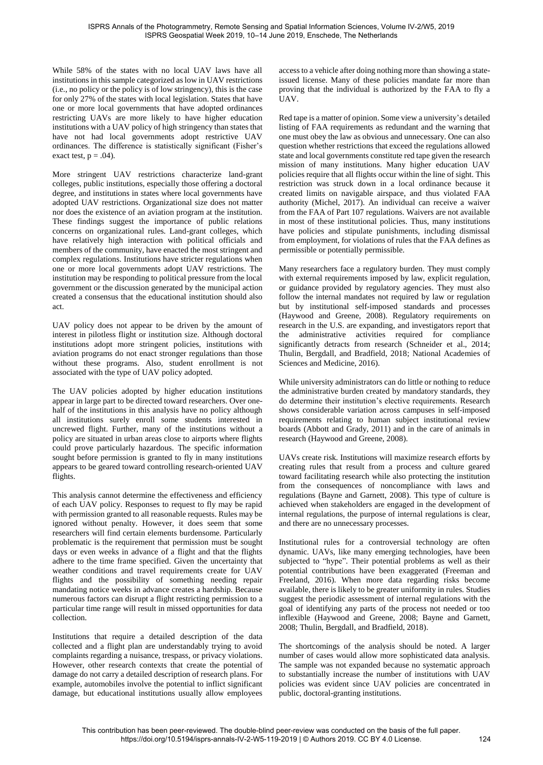While 58% of the states with no local UAV laws have all institutions in this sample categorized as low in UAV restrictions (i.e., no policy or the policy is of low stringency), this is the case for only 27% of the states with local legislation. States that have one or more local governments that have adopted ordinances restricting UAVs are more likely to have higher education institutions with a UAV policy of high stringency than states that have not had local governments adopt restrictive UAV ordinances. The difference is statistically significant (Fisher's exact test,  $p = .04$ ).

More stringent UAV restrictions characterize land-grant colleges, public institutions, especially those offering a doctoral degree, and institutions in states where local governments have adopted UAV restrictions. Organizational size does not matter nor does the existence of an aviation program at the institution. These findings suggest the importance of public relations concerns on organizational rules. Land-grant colleges, which have relatively high interaction with political officials and members of the community, have enacted the most stringent and complex regulations. Institutions have stricter regulations when one or more local governments adopt UAV restrictions. The institution may be responding to political pressure from the local government or the discussion generated by the municipal action created a consensus that the educational institution should also act.

UAV policy does not appear to be driven by the amount of interest in pilotless flight or institution size. Although doctoral institutions adopt more stringent policies, institutions with aviation programs do not enact stronger regulations than those without these programs. Also, student enrollment is not associated with the type of UAV policy adopted.

The UAV policies adopted by higher education institutions appear in large part to be directed toward researchers. Over onehalf of the institutions in this analysis have no policy although all institutions surely enroll some students interested in uncrewed flight. Further, many of the institutions without a policy are situated in urban areas close to airports where flights could prove particularly hazardous. The specific information sought before permission is granted to fly in many institutions appears to be geared toward controlling research-oriented UAV flights.

This analysis cannot determine the effectiveness and efficiency of each UAV policy. Responses to request to fly may be rapid with permission granted to all reasonable requests. Rules may be ignored without penalty. However, it does seem that some researchers will find certain elements burdensome. Particularly problematic is the requirement that permission must be sought days or even weeks in advance of a flight and that the flights adhere to the time frame specified. Given the uncertainty that weather conditions and travel requirements create for UAV flights and the possibility of something needing repair mandating notice weeks in advance creates a hardship. Because numerous factors can disrupt a flight restricting permission to a particular time range will result in missed opportunities for data collection.

Institutions that require a detailed description of the data collected and a flight plan are understandably trying to avoid complaints regarding a nuisance, trespass, or privacy violations. However, other research contexts that create the potential of damage do not carry a detailed description of research plans. For example, automobiles involve the potential to inflict significant damage, but educational institutions usually allow employees

access to a vehicle after doing nothing more than showing a stateissued license. Many of these policies mandate far more than proving that the individual is authorized by the FAA to fly a UAV.

Red tape is a matter of opinion. Some view a university's detailed listing of FAA requirements as redundant and the warning that one must obey the law as obvious and unnecessary. One can also question whether restrictions that exceed the regulations allowed state and local governments constitute red tape given the research mission of many institutions. Many higher education UAV policies require that all flights occur within the line of sight. This restriction was struck down in a local ordinance because it created limits on navigable airspace, and thus violated FAA authority [\(Michel, 2017\)](#page-7-20). An individual can receive a waiver from the FAA of Part 107 regulations. Waivers are not available in most of these institutional policies. Thus, many institutions have policies and stipulate punishments, including dismissal from employment, for violations of rules that the FAA defines as permissible or potentially permissible.

Many researchers face a regulatory burden. They must comply with external requirements imposed by law, explicit regulation, or guidance provided by regulatory agencies. They must also follow the internal mandates not required by law or regulation but by institutional self-imposed standards and processes [\(Haywood and Greene, 2008\)](#page-6-18). Regulatory requirements on research in the U.S. are expanding, and investigators report that the administrative activities required for compliance significantly detracts from research (Schneider et al., 2014; [Thulin, Bergdall, and Bradfield, 2018;](#page-7-25) [National Academies of](#page-7-26)  [Sciences and Medicine, 2016\)](#page-7-26).

While university administrators can do little or nothing to reduce the administrative burden created by mandatory standards, they do determine their institution's elective requirements. Research shows considerable variation across campuses in self-imposed requirements relating to human subject institutional review boards [\(Abbott and Grady, 2011\)](#page-6-19) and in the care of animals in research [\(Haywood and Greene, 2008\)](#page-6-18).

UAVs create risk. Institutions will maximize research efforts by creating rules that result from a process and culture geared toward facilitating research while also protecting the institution from the consequences of noncompliance with laws and regulations [\(Bayne and Garnett, 2008\)](#page-6-20). This type of culture is achieved when stakeholders are engaged in the development of internal regulations, the purpose of internal regulations is clear, and there are no unnecessary processes.

Institutional rules for a controversial technology are often dynamic. UAVs, like many emerging technologies, have been subjected to "hype". Their potential problems as well as their potential contributions have been exaggerated [\(Freeman and](#page-6-21)  [Freeland, 2016\)](#page-6-21). When more data regarding risks become available, there is likely to be greater uniformity in rules. Studies suggest the periodic assessment of internal regulations with the goal of identifying any parts of the process not needed or too inflexible [\(Haywood and Greene, 2008;](#page-6-18) [Bayne and Garnett,](#page-6-20)  [2008;](#page-6-20) [Thulin, Bergdall, and Bradfield, 2018\)](#page-7-25).

The shortcomings of the analysis should be noted. A larger number of cases would allow more sophisticated data analysis. The sample was not expanded because no systematic approach to substantially increase the number of institutions with UAV policies was evident since UAV policies are concentrated in public, doctoral-granting institutions.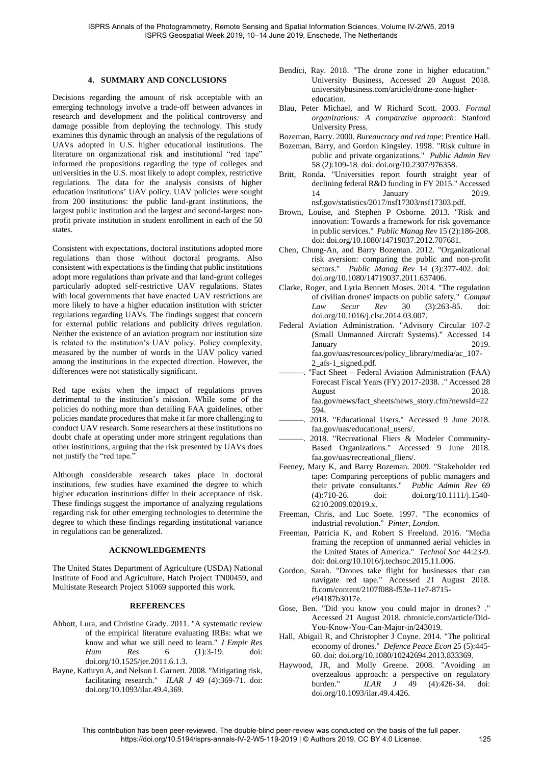### **4. SUMMARY AND CONCLUSIONS**

<span id="page-6-14"></span>Decisions regarding the amount of risk acceptable with an emerging technology involve a trade-off between advances in research and development and the political controversy and damage possible from deploying the technology. This study examines this dynamic through an analysis of the regulations of UAVs adopted in U.S. higher educational institutions. The literature on organizational risk and institutional "red tape" informed the propositions regarding the type of colleges and universities in the U.S. most likely to adopt complex, restrictive regulations. The data for the analysis consists of higher education institutions' UAV policy. UAV policies were sought from 200 institutions: the public land-grant institutions, the largest public institution and the largest and second-largest nonprofit private institution in student enrollment in each of the 50 states.

Consistent with expectations, doctoral institutions adopted more regulations than those without doctoral programs. Also consistent with expectations is the finding that public institutions adopt more regulations than private and that land-grant colleges particularly adopted self-restrictive UAV regulations. States with local governments that have enacted UAV restrictions are more likely to have a higher education institution with stricter regulations regarding UAVs. The findings suggest that concern for external public relations and publicity drives regulation. Neither the existence of an aviation program nor institution size is related to the institution's UAV policy. Policy complexity, measured by the number of words in the UAV policy varied among the institutions in the expected direction. However, the differences were not statistically significant.

Red tape exists when the impact of regulations proves detrimental to the institution's mission. While some of the policies do nothing more than detailing FAA guidelines, other policies mandate procedures that make it far more challenging to conduct UAV research. Some researchers at these institutions no doubt chafe at operating under more stringent regulations than other institutions, arguing that the risk presented by UAVs does not justify the "red tape."

Although considerable research takes place in doctoral institutions, few studies have examined the degree to which higher education institutions differ in their acceptance of risk. These findings suggest the importance of analyzing regulations regarding risk for other emerging technologies to determine the degree to which these findings regarding institutional variance in regulations can be generalized.

### **ACKNOWLEDGEMENTS**

The United States Department of Agriculture (USDA) National Institute of Food and Agriculture, Hatch Project TN00459, and Multistate Research Project S1069 supported this work.

## **REFERENCES**

- <span id="page-6-19"></span>Abbott, Lura, and Christine Grady. 2011. "A systematic review of the empirical literature evaluating IRBs: what we know and what we still need to learn." *J Empir Res Hum Res* 6 (1):3-19. doi: doi.org/10.1525/jer.2011.6.1.3.
- <span id="page-6-20"></span>Bayne, Kathryn A, and Nelson L Garnett. 2008. "Mitigating risk, facilitating research." *ILAR J* 49 (4):369-71. doi: doi.org/10.1093/ilar.49.4.369.
- <span id="page-6-5"></span>Bendici, Ray. 2018. "The drone zone in higher education." University Business, Accessed 20 August 2018. universitybusiness.com/article/drone-zone-highereducation.
- <span id="page-6-8"></span>Blau, Peter Michael, and W Richard Scott. 2003. *Formal organizations: A comparative approach*: Stanford University Press.
- <span id="page-6-9"></span>Bozeman, Barry. 2000. *Bureaucracy and red tape*: Prentice Hall.
- <span id="page-6-15"></span>Bozeman, Barry, and Gordon Kingsley. 1998. "Risk culture in public and private organizations." *Public Admin Rev* 58 (2):109-18. doi: doi.org/10.2307/976358.
- <span id="page-6-13"></span>Britt, Ronda. "Universities report fourth straight year of declining federal R&D funding in FY 2015." Accessed<br>14 January 2019. 14 January nsf.gov/statistics/2017/nsf17303/nsf17303.pdf.
- <span id="page-6-7"></span>Brown, Louise, and Stephen P Osborne. 2013. "Risk and innovation: Towards a framework for risk governance in public services." *Public Manag Rev* 15 (2):186-208. doi: doi.org/10.1080/14719037.2012.707681.
- <span id="page-6-17"></span>Chen, Chung-An, and Barry Bozeman. 2012. "Organizational risk aversion: comparing the public and non-profit sectors." *Public Manag Rev* 14 (3):377-402. doi: doi.org/10.1080/14719037.2011.637406.
- <span id="page-6-12"></span>Clarke, Roger, and Lyria Bennett Moses. 2014. "The regulation of civilian drones' impacts on public safety." *Comput Law Secur Rev* 30 (3):263-85. doi: doi.org/10.1016/j.clsr.2014.03.007.
- <span id="page-6-2"></span>Federal Aviation Administration. "Advisory Circular 107-2 (Small Unmanned Aircraft Systems)." Accessed 14 January 2019. faa.gov/uas/resources/policy\_library/media/ac\_107- 2\_afs-1\_signed.pdf.
- <span id="page-6-0"></span>"Fact Sheet – Federal Aviation Administration (FAA) Forecast Fiscal Years (FY) 2017-2038. ." Accessed 28 August 2018. faa.gov/news/fact\_sheets/news\_story.cfm?newsId=22 594.
- <span id="page-6-3"></span>2018. "Educational Users." Accessed 9 June 2018. faa.gov/uas/educational\_users/.
- <span id="page-6-1"></span>2018. "Recreational Fliers & Modeler Community-Based Organizations." Accessed 9 June 2018. faa.gov/uas/recreational\_fliers/.
- <span id="page-6-16"></span>Feeney, Mary K, and Barry Bozeman. 2009. "Stakeholder red tape: Comparing perceptions of public managers and their private consultants." *Public Admin Rev* 69 doi: doi.org/10.1111/j.1540-6210.2009.02019.x.
- <span id="page-6-6"></span>Freeman, Chris, and Luc Soete. 1997. "The economics of industrial revolution." *Pinter, London*.
- <span id="page-6-21"></span>Freeman, Patricia K, and Robert S Freeland. 2016. "Media framing the reception of unmanned aerial vehicles in the United States of America." *Technol Soc* 44:23-9. doi: doi.org/10.1016/j.techsoc.2015.11.006.
- <span id="page-6-11"></span>Gordon, Sarah. "Drones take flight for businesses that can navigate red tape." Accessed 21 August 2018. ft.com/content/2107f088-f53e-11e7-8715 e94187b3017e.
- <span id="page-6-4"></span>Gose, Ben. "Did you know you could major in drones? ." Accessed 21 August 2018. chronicle.com/article/Did-You-Know-You-Can-Major-in/243019.
- <span id="page-6-10"></span>Hall, Abigail R, and Christopher J Coyne. 2014. "The political economy of drones." *Defence Peace Econ* 25 (5):445- 60. doi: doi.org/10.1080/10242694.2013.833369.
- <span id="page-6-18"></span>Haywood, JR, and Molly Greene. 2008. "Avoiding an overzealous approach: a perspective on regulatory<br>burden."  $IIAR$   $J$  49 (4):426-34. doi: burden." *ILAR J* 49 (4):426-34. doi: doi.org/10.1093/ilar.49.4.426.